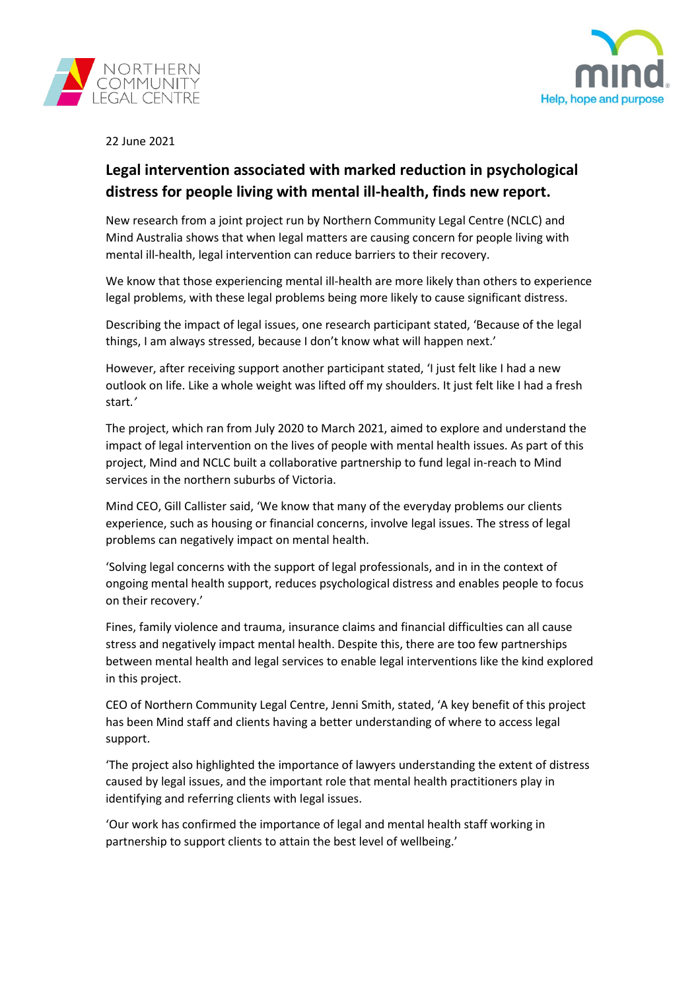



22 June 2021

## **Legal intervention associated with marked reduction in psychological distress for people living with mental ill-health, finds new report.**

New research from a joint project run by Northern Community Legal Centre (NCLC) and Mind Australia shows that when legal matters are causing concern for people living with mental ill-health, legal intervention can reduce barriers to their recovery.

We know that those experiencing mental ill-health are more likely than others to experience legal problems, with these legal problems being more likely to cause significant distress.

Describing the impact of legal issues, one research participant stated, 'Because of the legal things, I am always stressed, because I don't know what will happen next.'

However, after receiving support another participant stated, 'I just felt like I had a new outlook on life. Like a whole weight was lifted off my shoulders. It just felt like I had a fresh start*.'*

The project, which ran from July 2020 to March 2021, aimed to explore and understand the impact of legal intervention on the lives of people with mental health issues. As part of this project, Mind and NCLC built a collaborative partnership to fund legal in-reach to Mind services in the northern suburbs of Victoria.

Mind CEO, Gill Callister said, 'We know that many of the everyday problems our clients experience, such as housing or financial concerns, involve legal issues. The stress of legal problems can negatively impact on mental health.

'Solving legal concerns with the support of legal professionals, and in in the context of ongoing mental health support, reduces psychological distress and enables people to focus on their recovery.'

Fines, family violence and trauma, insurance claims and financial difficulties can all cause stress and negatively impact mental health. Despite this, there are too few partnerships between mental health and legal services to enable legal interventions like the kind explored in this project.

CEO of Northern Community Legal Centre, Jenni Smith, stated, 'A key benefit of this project has been Mind staff and clients having a better understanding of where to access legal support.

'The project also highlighted the importance of lawyers understanding the extent of distress caused by legal issues, and the important role that mental health practitioners play in identifying and referring clients with legal issues.

'Our work has confirmed the importance of legal and mental health staff working in partnership to support clients to attain the best level of wellbeing.'